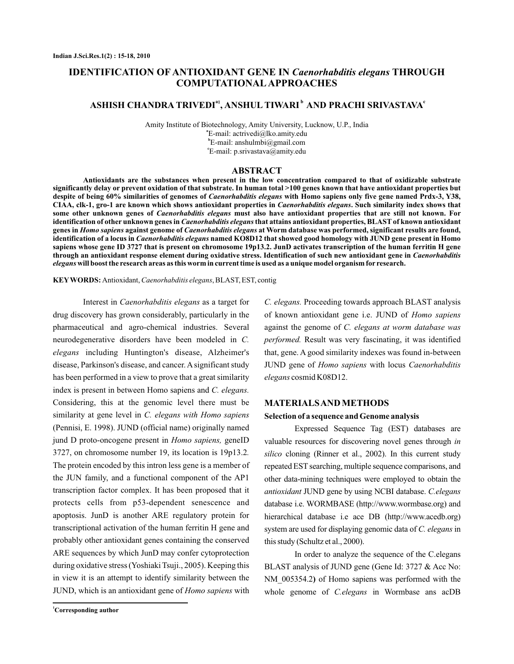# **IDENTIFICATION OF ANTIOXIDANT GENE IN Caenorhabditis elegans THROUGH COMPUTATIONAL APPROACHES**

# $A$ SHISH CHANDRA TRIVEDI<sup>al</sup>, ANSHUL TIWARI<sup>b</sup> AND PRACHI SRIVASTAVA<sup>c</sup>

Amity Institute of Biotechnology, Amity University, Lucknow, U.P., India E-mail: actrivedi@lko.amity.edu **a** E-mail: anshulmbi@gmail.com **b** E-mail: p.srivastava@amity.edu **c**

# **ABSTRACT**

**Antioxidants are the substances when present in the low concentration compared to that of oxidizable substrate significantly delay or prevent oxidation of that substrate. In human total >100 genes known that have antioxidant properties but** despite of being 60% similarities of genomes of *Caenorhabditis elegans* with Homo sapiens only five gene named Prdx-3, Y38, CIAA, clk-1, gro-1 are known which shows antioxidant properties in *Caenorhabditis elegans*. Such similarity index shows that some other unknown genes of *Caenorhabditis elegans* must also have antioxidant properties that are still not known. For identification of other unknown genes in *Caenorhabditis elegans* that attains antioxidant properties, BLAST of known antioxidant genes in *Homo sapiens* against genome of *Caenorhabditis elegans* at Worm database was performed, significant results are found, identification of a locus in *Caenorhabditis elegans* named KO8D12 that showed good homology with JUND gene present in Homo **sapiens whose gene ID 3727 that is present on chromosome 19p13.2. JunD activates transcription of the human ferritin H gene through an antioxidant response element during oxidative stress. Identification of such new antioxidant gene in** *Caenorhabditis* **will boost the research areas as this worm in current time is used as a unique model organism for research.** *elegans*

KEYWORDS: Antioxidant, Caenorhabditis elegans, BLAST, EST, contig

Interest in Caenorhabditis elegans as a target for drug discovery has grown considerably, particularly in the pharmaceutical and agro-chemical industries. Several neurodegenerative disorders have been modeled in *C.* including Huntington's disease, Alzheimer's *elegans* disease, Parkinson's disease, and cancer. A significant study has been performed in a view to prove that a great similarity index is present in between Homo sapiens and *C. elegans.* Considering, this at the genomic level there must be similarity at gene level in *C. elegans with Homo sapiens* (Pennisi, E. 1998). JUND (official name) originally named jund D proto-oncogene present in *Homo sapiens*, geneID 3727, on chromosome number 19, its location is 19p13.2 *.* The protein encoded by this intron less gene is a member of the JUN family, and a functional component of the AP1 transcription factor complex. It has been proposed that it protects cells from p53-dependent senescence and apoptosis. JunD is another ARE regulatory protein for transcriptional activation of the human ferritin H gene and probably other antioxidant genes containing the conserved ARE sequences by which JunD may confer cytoprotection during oxidative stress (Yoshiaki Tsuji., 2005). Keeping this in view it is an attempt to identify similarity between the JUND, which is an antioxidant gene of *Homo sapiens* with

*C. elegans.* Proceeding towards approach BLAST analysis of known antioxidant gene i.e. JUND of *Homo sapiens C. elegans at worm database was* against the genome of *performed.* Result was very fascinating, it was identified JUND gene of Homo sapiens with locus Caenorhabditis *elegans* cosmid K08D12. that, gene. A good similarity indexes was found in-between

# **MATERIALSAND METHODS**

### **Selection of a sequence and Genome analysis**

valuable resources for discovering novel genes through in *silico* cloning (Rinner et al., 2002). In this current study antioxidant JUND gene by using NCBI database. C.elegans system are used for displaying genomic data of C. elegans in Expressed Sequence Tag (EST) databases are repeated EST searching, multiple sequence comparisons, and other data-mining techniques were employed to obtain the database i.e. WORMBASE (http://www.wormbase.org) and hierarchical database i.e ace DB (http://www.acedb.org) this study (Schultz et al., 2000 ).

In order to analyze the sequence of the C.elegans BLAST analysis of JUND gene (Gene Id: 3727 & Acc No: NM<sub>\_</sub>005354.2) of Homo sapiens was performed with the whole genome of *C.elegans* in Wormbase ans acDB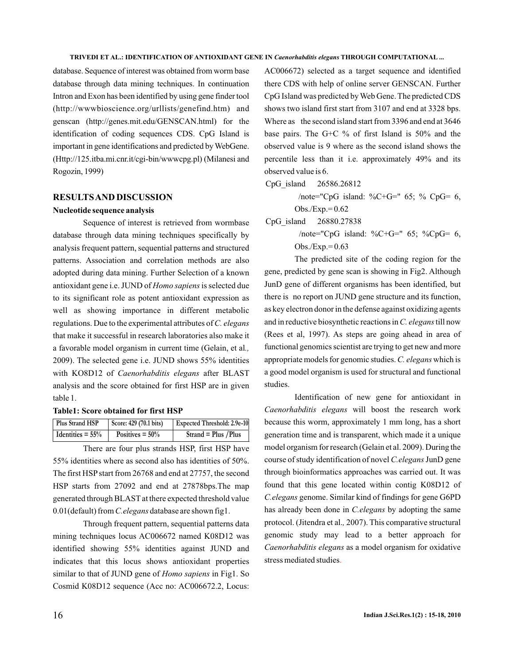#### TRIVEDI ET AL.: IDENTIFICATION OF ANTIOXIDANT GENE IN Caenorhabditis elegans THROUGH COMPUTATIONAL ...

database. Sequence of interest was obtained from worm base database through data mining techniques. In continuation Intron and Exon has been identified by using gene finder tool (http://wwwbioscience.org/urllists/genefind.htm) and genscan (http://genes.mit.edu/GENSCAN.html) for the identification of coding sequences CDS. CpG Island is important in gene identifications and predicted by WebGene. (Http://125.itba.mi.cnr.it/cgi-bin/wwwcpg.pl) (Milanesi and Rogozin, 1999)

# **RESULTSAND DISCUSSION**

# **Nucleotide sequence analysis**

Sequence of interest is retrieved from wormbase database through data mining techniques specifically by analysis frequent pattern, sequential patterns and structured patterns. Association and correlation methods are also adopted during data mining. Further Selection of a known antioxidant gene i.e. JUND of *Homo sapiens* is selected due to its significant role as potent antioxidant expression as well as showing importance in different metabolic regulations. Due to the experimental attributes of *C. elegans* that make it successful in research laboratories also make it a favorable model organism in current time (Gelain, et al *.,* 2009). The selected gene i.e. JUND shows 55% identities with KO8D12 of Caenorhabditis elegans after BLAST analysis and the score obtained for first HSP are in given table 1.

## **Table1: Score obtained for first HSP**

| <b>Plus Strand HSP</b> | Score: 429 (70.1 bits) | <b>Expected Threshold: 2.9e-10</b> |
|------------------------|------------------------|------------------------------------|
| Identities $= 55\%$    | Positives $= 50\%$     | $Strand = Plus / Plus$             |

There are four plus strands HSP, first HSP have 55% identities where as second also has identities of 50%. The first HSP start from 26768 and end at 27757, the second HSP starts from 27092 and end at 27878bps.The map generated through BLAST at there expected threshold value 0.01(default) from *C.elegans* database are shown fig1.

Through frequent pattern, sequential patterns data mining techniques locus AC006672 named K08D12 was identified showing 55% identities against JUND and indicates that this locus shows antioxidant properties similar to that of JUND gene of *Homo sapiens* in Fig1. So Cosmid K08D12 sequence (Acc no: AC006672.2, Locus:

AC006672) selected as a target sequence and identified there CDS with help of online server GENSCAN. Further CpG Island was predicted by Web Gene. The predicted CDS shows two island first start from 3107 and end at 3328 bps. Where as the second island start from 3396 and end at 3646 base pairs. The G+C % of first Island is 50% and the observed value is 9 where as the second island shows the percentile less than it i.e. approximately 49% and its observed value is 6.

CpG\_island 26586.26812

/note="CpG island:  $\%C+G=$ " 65; % CpG= 6, Obs./Exp. $= 0.62$ 

CpG\_island 26880.27838

/note="CpG island:  $\%C+G=$ " 65;  $\%CpG= 6$ , Obs./Exp.= $0.63$ 

The predicted site of the coding region for the gene, predicted by gene scan is showing in Fig2. Although JunD gene of different organisms has been identified, but there is no report on JUND gene structure and its function, as key electron donor in the defense against oxidizing agents and in reductive biosynthetic reactions in C. elegans till now (Rees et al, 1997). As steps are going ahead in area of functional genomics scientist are trying to get new and more appropriate models for genomic studies. C. elegans which is a good model organism is used for structural and functional studies.

Identification of new gene for antioxidant in Caenorhabditis elegans will boost the research work because this worm, approximately 1 mm long, has a short generation time and is transparent, which made it a unique model organism for research (Gelain et al. 2009). During the course of study identification of novel C.elegans JunD gene through bioinformatics approaches was carried out. It was found that this gene located within contig K08D12 of C.elegans genome. Similar kind of findings for gene G6PD has already been done in *C.elegans* by adopting the same protocol. (Jitendra et al., 2007). This comparative structural genomic study may lead to a better approach for Caenorhabditis elegans as a model organism for oxidative stress mediated studies .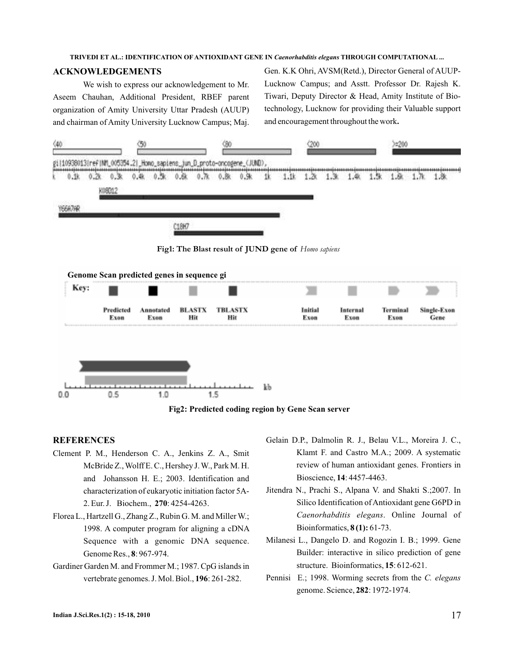#### TRIVEDI ET AL.: IDENTIFICATION OF ANTIOXIDANT GENE IN Caenorhabditis elegans THROUGH COMPUTATIONAL ...

# **ACKNOWLEDGEMENTS**

We wish to express our acknowledgement to Mr. Aseem Chauhan, Additional President, RBEF parent organization of Amity University Uttar Pradesh (AUUP) and chairman of Amity University Lucknow Campus; Maj. Gen. K.K Ohri, AVSM(Retd.), Director General of AUUP-Lucknow Campus; and Asstt. Professor Dr. Rajesh K. Tiwari, Deputy Director & Head, Amity Institute of Biotechnology, Lucknow for providing their Valuable support and encouragement throughout the work**.**



**Fig2: Predicted coding region by Gene Scan server**

## **REFERENCES**

- Clement P. M., Henderson C. A., Jenkins Z. A., Smit McBride Z., Wolff E. C., Hershey J. W., Park M. H. and Johansson H. E.; 2003. Identification and characterization of eukaryotic initiation factor 5A-2. Eur. J. Biochem., 270: 4254-4263.
- Florea L., Hartzell G., Zhang Z., Rubin G. M. and Miller W.; 1998. A computer program for aligning a cDNA Sequence with a genomic DNA sequence. Genome Res., 8: 967-974.
- Gardiner Garden M. and Frommer M.; 1987. CpG islands in vertebrate genomes. J. Mol. Biol., 196: 261-282.
- Gelain D.P., Dalmolin R. J., Belau V.L., Moreira J. C., Klamt F. and Castro M.A.; 2009. A systematic review of human antioxidant genes. Frontiers in Bioscience, 14: 4457-4463.
- Jitendra N., Prachi S., Alpana V. and Shakti S.;2007. In Silico Identification of Antioxidant gene G6PD in . Online Journal of *Caenorhabditis elegans* Bioinformatics, **8(1):** 61-73.
- Milanesi L., Dangelo D. and Rogozin I. B.; 1999. Gene Builder: interactive in silico prediction of gene structure. Bioinformatics, 15: 612-621.
- Pennisi E.; 1998. Worming secrets from the *C. elegans* genome. Science, 282: 1972-1974.